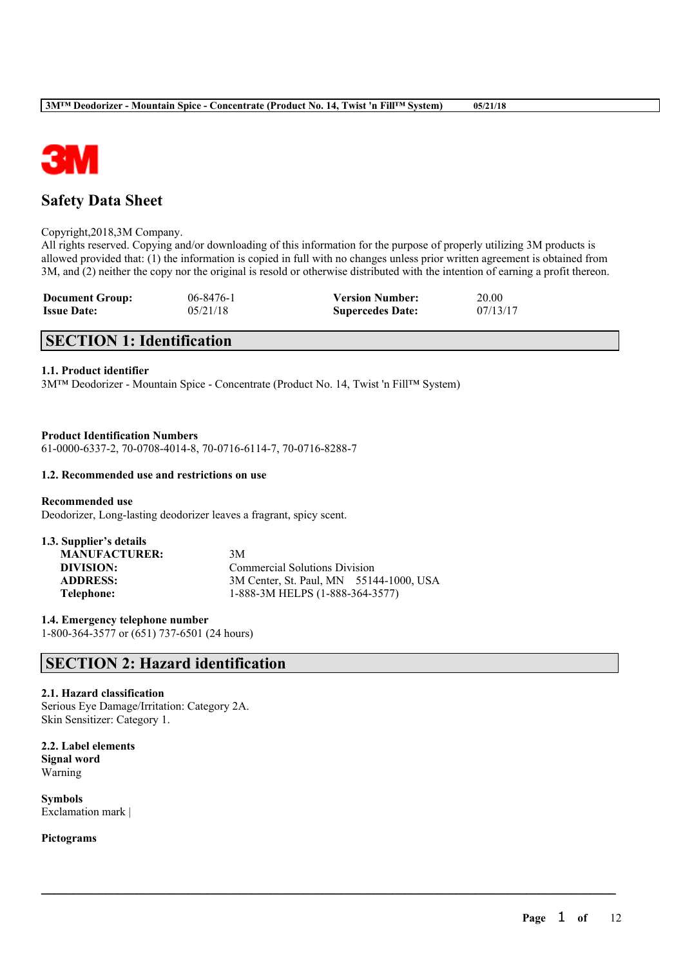

# **Safety Data Sheet**

### Copyright,2018,3M Company.

All rights reserved. Copying and/or downloading of this information for the purpose of properly utilizing 3M products is allowed provided that: (1) the information is copied in full with no changes unless prior written agreement is obtained from 3M, and (2) neither the copy nor the original is resold or otherwise distributed with the intention of earning a profit thereon.

 $\mathcal{L}_\mathcal{L} = \mathcal{L}_\mathcal{L} = \mathcal{L}_\mathcal{L} = \mathcal{L}_\mathcal{L} = \mathcal{L}_\mathcal{L} = \mathcal{L}_\mathcal{L} = \mathcal{L}_\mathcal{L} = \mathcal{L}_\mathcal{L} = \mathcal{L}_\mathcal{L} = \mathcal{L}_\mathcal{L} = \mathcal{L}_\mathcal{L} = \mathcal{L}_\mathcal{L} = \mathcal{L}_\mathcal{L} = \mathcal{L}_\mathcal{L} = \mathcal{L}_\mathcal{L} = \mathcal{L}_\mathcal{L} = \mathcal{L}_\mathcal{L}$ 

| <b>Document Group:</b> | $06 - 8476 - 1$ | <b>Version Number:</b>  | 20.00    |
|------------------------|-----------------|-------------------------|----------|
| <b>Issue Date:</b>     | 05/21/18        | <b>Supercedes Date:</b> | 07/13/17 |

# **SECTION 1: Identification**

## **1.1. Product identifier**

3M™ Deodorizer - Mountain Spice - Concentrate (Product No. 14, Twist 'n Fill™ System)

### **Product Identification Numbers**

61-0000-6337-2, 70-0708-4014-8, 70-0716-6114-7, 70-0716-8288-7

### **1.2. Recommended use and restrictions on use**

**Recommended use** Deodorizer, Long-lasting deodorizer leaves a fragrant, spicy scent.

| 1.3. Supplier's details |                                         |
|-------------------------|-----------------------------------------|
| <b>MANUFACTURER:</b>    | 3M                                      |
| DIVISION:               | <b>Commercial Solutions Division</b>    |
| <b>ADDRESS:</b>         | 3M Center, St. Paul, MN 55144-1000, USA |
| Telephone:              | 1-888-3M HELPS (1-888-364-3577)         |
|                         |                                         |

**1.4. Emergency telephone number** 1-800-364-3577 or (651) 737-6501 (24 hours)

# **SECTION 2: Hazard identification**

## **2.1. Hazard classification**

Serious Eye Damage/Irritation: Category 2A. Skin Sensitizer: Category 1.

**2.2. Label elements Signal word** Warning

**Symbols** Exclamation mark |

**Pictograms**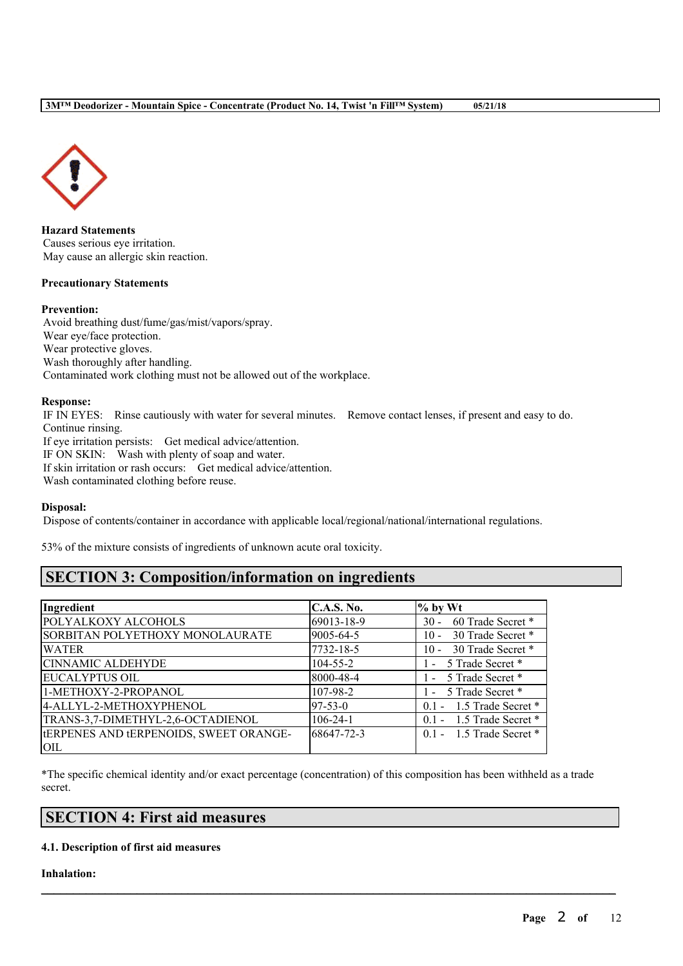

**Hazard Statements** Causes serious eye irritation. May cause an allergic skin reaction.

### **Precautionary Statements**

### **Prevention:**

Avoid breathing dust/fume/gas/mist/vapors/spray. Wear eye/face protection. Wear protective gloves. Wash thoroughly after handling. Contaminated work clothing must not be allowed out of the workplace.

### **Response:**

IF IN EYES: Rinse cautiously with water for several minutes. Remove contact lenses, if present and easy to do. Continue rinsing. If eye irritation persists: Get medical advice/attention. IF ON SKIN: Wash with plenty of soap and water. If skin irritation or rash occurs: Get medical advice/attention. Wash contaminated clothing before reuse.

#### **Disposal:**

Dispose of contents/container in accordance with applicable local/regional/national/international regulations.

53% of the mixture consists of ingredients of unknown acute oral toxicity.

# **SECTION 3: Composition/information on ingredients**

| Ingredient                                    | <b>C.A.S. No.</b> | $%$ by Wt                   |
|-----------------------------------------------|-------------------|-----------------------------|
| POLYALKOXY ALCOHOLS                           | 69013-18-9        | 60 Trade Secret *<br>$30 -$ |
| SORBITAN POLYETHOXY MONOLAURATE               | 9005-64-5         | 30 Trade Secret *<br>$10 -$ |
| <b>WATER</b>                                  | 7732-18-5         | 30 Trade Secret *<br>$10 -$ |
| <b>CINNAMIC ALDEHYDE</b>                      | $104 - 55 - 2$    | - 5 Trade Secret *          |
| EUCALYPTUS OIL                                | 8000-48-4         | - 5 Trade Secret *          |
| 1-METHOXY-2-PROPANOL                          | 107-98-2          | - 5 Trade Secret *          |
| 4-ALLYL-2-METHOXYPHENOL                       | $97 - 53 - 0$     | $0.1 - 1.5$ Trade Secret *  |
| TRANS-3,7-DIMETHYL-2,6-OCTADIENOL             | $106 - 24 - 1$    | 0.1 - 1.5 Trade Secret *    |
| <b>IERPENES AND IERPENOIDS, SWEET ORANGE-</b> | 68647-72-3        | $0.1 - 1.5$ Trade Secret *  |
| OIL                                           |                   |                             |

\*The specific chemical identity and/or exact percentage (concentration) of this composition has been withheld as a trade secret.

 $\mathcal{L}_\mathcal{L} = \mathcal{L}_\mathcal{L} = \mathcal{L}_\mathcal{L} = \mathcal{L}_\mathcal{L} = \mathcal{L}_\mathcal{L} = \mathcal{L}_\mathcal{L} = \mathcal{L}_\mathcal{L} = \mathcal{L}_\mathcal{L} = \mathcal{L}_\mathcal{L} = \mathcal{L}_\mathcal{L} = \mathcal{L}_\mathcal{L} = \mathcal{L}_\mathcal{L} = \mathcal{L}_\mathcal{L} = \mathcal{L}_\mathcal{L} = \mathcal{L}_\mathcal{L} = \mathcal{L}_\mathcal{L} = \mathcal{L}_\mathcal{L}$ 

## **SECTION 4: First aid measures**

## **4.1. Description of first aid measures**

**Inhalation:**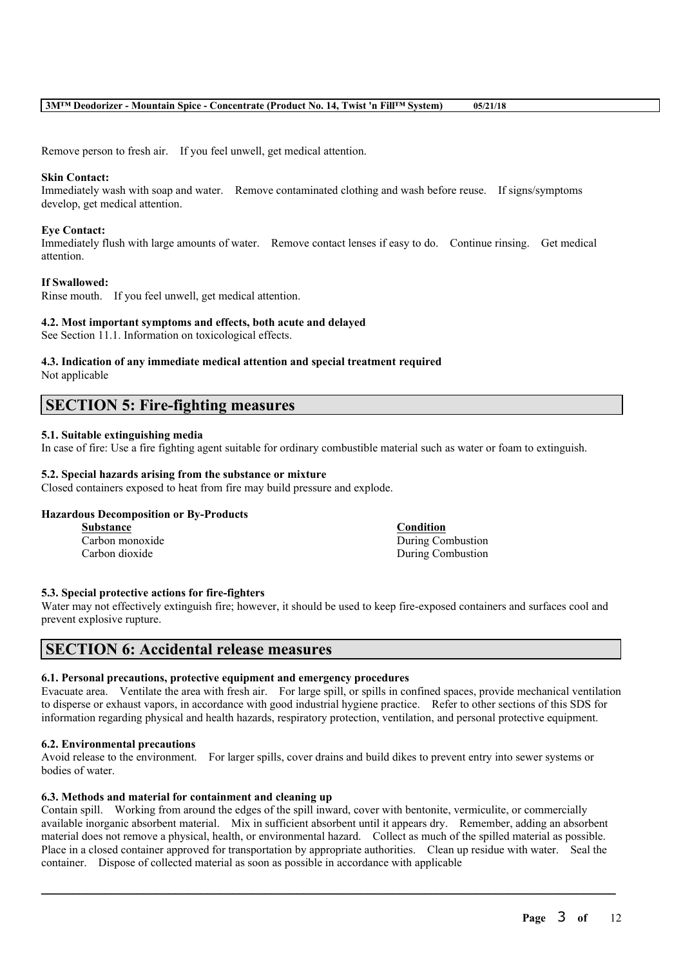Remove person to fresh air. If you feel unwell, get medical attention.

#### **Skin Contact:**

Immediately wash with soap and water. Remove contaminated clothing and wash before reuse. If signs/symptoms develop, get medical attention.

### **Eye Contact:**

Immediately flush with large amounts of water. Remove contact lenses if easy to do. Continue rinsing. Get medical attention.

### **If Swallowed:**

Rinse mouth. If you feel unwell, get medical attention.

### **4.2. Most important symptoms and effects, both acute and delayed**

See Section 11.1. Information on toxicological effects.

# **4.3. Indication of any immediate medical attention and special treatment required**

Not applicable

## **SECTION 5: Fire-fighting measures**

### **5.1. Suitable extinguishing media**

In case of fire: Use a fire fighting agent suitable for ordinary combustible material such as water or foam to extinguish.

### **5.2. Special hazards arising from the substance or mixture**

Closed containers exposed to heat from fire may build pressure and explode.

#### **Hazardous Decomposition or By-Products**

**Substance Condition**

Carbon monoxide During Combustion Carbon dioxide During Combustion

#### **5.3. Special protective actions for fire-fighters**

Water may not effectively extinguish fire; however, it should be used to keep fire-exposed containers and surfaces cool and prevent explosive rupture.

## **SECTION 6: Accidental release measures**

#### **6.1. Personal precautions, protective equipment and emergency procedures**

Evacuate area. Ventilate the area with fresh air. For large spill, or spills in confined spaces, provide mechanical ventilation to disperse or exhaust vapors, in accordance with good industrial hygiene practice. Refer to other sections of this SDS for information regarding physical and health hazards, respiratory protection, ventilation, and personal protective equipment.

#### **6.2. Environmental precautions**

Avoid release to the environment. For larger spills, cover drains and build dikes to prevent entry into sewer systems or bodies of water.

### **6.3. Methods and material for containment and cleaning up**

Contain spill. Working from around the edges of the spill inward, cover with bentonite, vermiculite, or commercially available inorganic absorbent material. Mix in sufficient absorbent until it appears dry. Remember, adding an absorbent material does not remove a physical, health, or environmental hazard. Collect as much of the spilled material as possible. Place in a closed container approved for transportation by appropriate authorities. Clean up residue with water. Seal the container. Dispose of collected material as soon as possible in accordance with applicable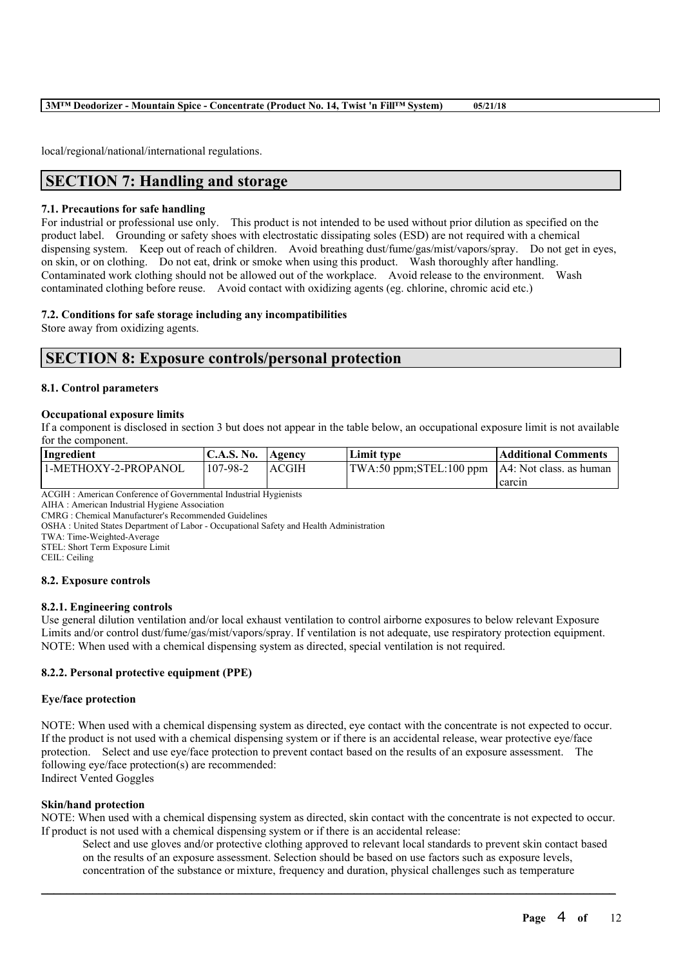local/regional/national/international regulations.

# **SECTION 7: Handling and storage**

### **7.1. Precautions for safe handling**

For industrial or professional use only. This product is not intended to be used without prior dilution as specified on the product label. Grounding or safety shoes with electrostatic dissipating soles (ESD) are not required with a chemical dispensing system. Keep out of reach of children. Avoid breathing dust/fume/gas/mist/vapors/spray. Do not get in eyes, on skin, or on clothing. Do not eat, drink or smoke when using this product. Wash thoroughly after handling. Contaminated work clothing should not be allowed out of the workplace. Avoid release to the environment. Wash contaminated clothing before reuse. Avoid contact with oxidizing agents (eg. chlorine, chromic acid etc.)

### **7.2. Conditions for safe storage including any incompatibilities**

Store away from oxidizing agents.

## **SECTION 8: Exposure controls/personal protection**

### **8.1. Control parameters**

### **Occupational exposure limits**

If a component is disclosed in section 3 but does not appear in the table below, an occupational exposure limit is not available for the component.

| Ingredient           | C.A.S. No. Agency |              | Limit tvpe                                                          | Additional Comments |
|----------------------|-------------------|--------------|---------------------------------------------------------------------|---------------------|
| 1-METHOXY-2-PROPANOL | 107-98-2          | <b>ACGIH</b> | $\text{TWA:50 ppm}$ ; STEL:100 ppm $\text{AA: Not class.}$ as human |                     |
|                      |                   |              |                                                                     | carcin              |

ACGIH : American Conference of Governmental Industrial Hygienists

AIHA : American Industrial Hygiene Association

CMRG : Chemical Manufacturer's Recommended Guidelines

OSHA : United States Department of Labor - Occupational Safety and Health Administration

TWA: Time-Weighted-Average

STEL: Short Term Exposure Limit

CEIL: Ceiling

### **8.2. Exposure controls**

### **8.2.1. Engineering controls**

Use general dilution ventilation and/or local exhaust ventilation to control airborne exposures to below relevant Exposure Limits and/or control dust/fume/gas/mist/vapors/spray. If ventilation is not adequate, use respiratory protection equipment. NOTE: When used with a chemical dispensing system as directed, special ventilation is not required.

### **8.2.2. Personal protective equipment (PPE)**

#### **Eye/face protection**

NOTE: When used with a chemical dispensing system as directed, eye contact with the concentrate is not expected to occur. If the product is not used with a chemical dispensing system or if there is an accidental release, wear protective eye/face protection. Select and use eye/face protection to prevent contact based on the results of an exposure assessment. The following eye/face protection(s) are recommended: Indirect Vented Goggles

#### **Skin/hand protection**

NOTE: When used with a chemical dispensing system as directed, skin contact with the concentrate is not expected to occur. If product is not used with a chemical dispensing system or if there is an accidental release:

 $\mathcal{L}_\mathcal{L} = \mathcal{L}_\mathcal{L} = \mathcal{L}_\mathcal{L} = \mathcal{L}_\mathcal{L} = \mathcal{L}_\mathcal{L} = \mathcal{L}_\mathcal{L} = \mathcal{L}_\mathcal{L} = \mathcal{L}_\mathcal{L} = \mathcal{L}_\mathcal{L} = \mathcal{L}_\mathcal{L} = \mathcal{L}_\mathcal{L} = \mathcal{L}_\mathcal{L} = \mathcal{L}_\mathcal{L} = \mathcal{L}_\mathcal{L} = \mathcal{L}_\mathcal{L} = \mathcal{L}_\mathcal{L} = \mathcal{L}_\mathcal{L}$ 

Select and use gloves and/or protective clothing approved to relevant local standards to prevent skin contact based on the results of an exposure assessment. Selection should be based on use factors such as exposure levels, concentration of the substance or mixture, frequency and duration, physical challenges such as temperature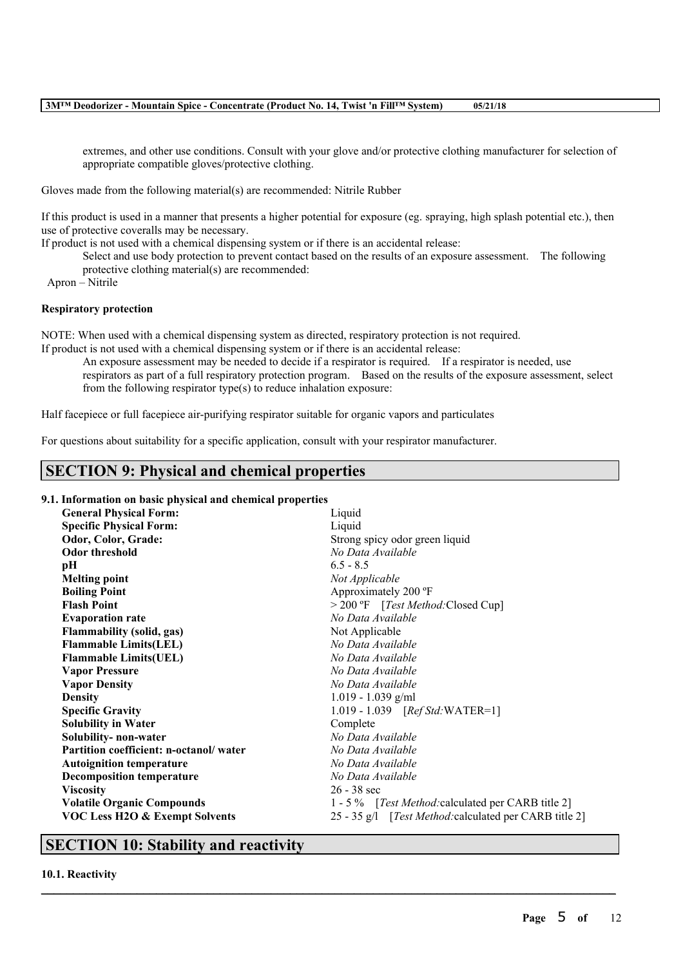extremes, and other use conditions. Consult with your glove and/or protective clothing manufacturer for selection of appropriate compatible gloves/protective clothing.

Gloves made from the following material(s) are recommended: Nitrile Rubber

If this product is used in a manner that presents a higher potential for exposure (eg. spraying, high splash potential etc.), then use of protective coveralls may be necessary.

If product is not used with a chemical dispensing system or if there is an accidental release:

Select and use body protection to prevent contact based on the results of an exposure assessment. The following protective clothing material(s) are recommended:

Apron – Nitrile

## **Respiratory protection**

NOTE: When used with a chemical dispensing system as directed, respiratory protection is not required.

If product is not used with a chemical dispensing system or if there is an accidental release:

An exposure assessment may be needed to decide if a respirator is required. If a respirator is needed, use respirators as part of a full respiratory protection program. Based on the results of the exposure assessment, select from the following respirator type(s) to reduce inhalation exposure:

Half facepiece or full facepiece air-purifying respirator suitable for organic vapors and particulates

For questions about suitability for a specific application, consult with your respirator manufacturer.

# **SECTION 9: Physical and chemical properties**

### **9.1. Information on basic physical and chemical properties**

| <b>General Physical Form:</b>             | Liquid                                                 |  |  |  |
|-------------------------------------------|--------------------------------------------------------|--|--|--|
| <b>Specific Physical Form:</b>            | Liquid                                                 |  |  |  |
| Odor, Color, Grade:                       | Strong spicy odor green liquid                         |  |  |  |
| <b>Odor threshold</b>                     | No Data Available                                      |  |  |  |
| pН                                        | $6.5 - 8.5$                                            |  |  |  |
| <b>Melting point</b>                      | Not Applicable                                         |  |  |  |
| <b>Boiling Point</b>                      | Approximately 200 °F                                   |  |  |  |
| <b>Flash Point</b>                        | > 200 °F [Test Method: Closed Cup]                     |  |  |  |
| <b>Evaporation rate</b>                   | No Data Available                                      |  |  |  |
| <b>Flammability (solid, gas)</b>          | Not Applicable                                         |  |  |  |
| <b>Flammable Limits(LEL)</b>              | No Data Available                                      |  |  |  |
| <b>Flammable Limits(UEL)</b>              | No Data Available                                      |  |  |  |
| <b>Vapor Pressure</b>                     | No Data Available                                      |  |  |  |
| <b>Vapor Density</b>                      | No Data Available                                      |  |  |  |
| <b>Density</b>                            | $1.019 - 1.039$ g/ml                                   |  |  |  |
| <b>Specific Gravity</b>                   | 1.019 - 1.039 [Ref Std: WATER=1]                       |  |  |  |
| <b>Solubility in Water</b>                | Complete                                               |  |  |  |
| Solubility- non-water                     | No Data Available                                      |  |  |  |
| Partition coefficient: n-octanol/water    | No Data Available                                      |  |  |  |
| <b>Autoignition temperature</b>           | No Data Available                                      |  |  |  |
| <b>Decomposition temperature</b>          | No Data Available                                      |  |  |  |
| <b>Viscosity</b>                          | $26 - 38$ sec                                          |  |  |  |
| <b>Volatile Organic Compounds</b>         | 1 - 5 % [Test Method: calculated per CARB title 2]     |  |  |  |
| <b>VOC Less H2O &amp; Exempt Solvents</b> | 25 - 35 g/l [Test Method: calculated per CARB title 2] |  |  |  |

 $\mathcal{L}_\mathcal{L} = \mathcal{L}_\mathcal{L} = \mathcal{L}_\mathcal{L} = \mathcal{L}_\mathcal{L} = \mathcal{L}_\mathcal{L} = \mathcal{L}_\mathcal{L} = \mathcal{L}_\mathcal{L} = \mathcal{L}_\mathcal{L} = \mathcal{L}_\mathcal{L} = \mathcal{L}_\mathcal{L} = \mathcal{L}_\mathcal{L} = \mathcal{L}_\mathcal{L} = \mathcal{L}_\mathcal{L} = \mathcal{L}_\mathcal{L} = \mathcal{L}_\mathcal{L} = \mathcal{L}_\mathcal{L} = \mathcal{L}_\mathcal{L}$ 

# **SECTION 10: Stability and reactivity**

**10.1. Reactivity**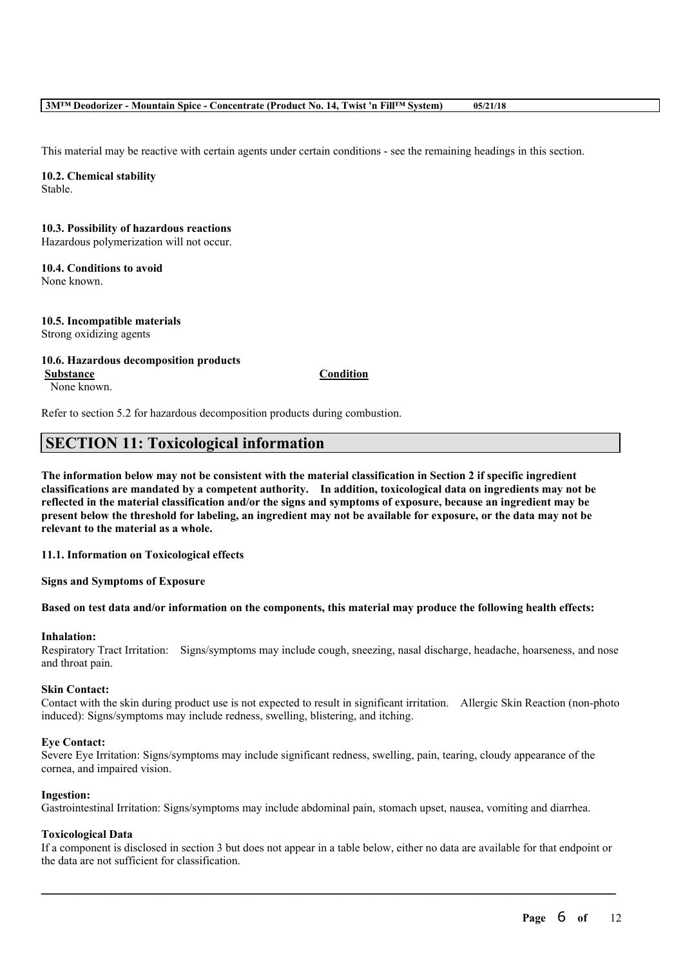This material may be reactive with certain agents under certain conditions - see the remaining headings in this section.

**10.2. Chemical stability** Stable.

## **10.3. Possibility of hazardous reactions**

Hazardous polymerization will not occur.

# **10.4. Conditions to avoid**

None known.

**10.5. Incompatible materials** Strong oxidizing agents

### **10.6. Hazardous decomposition products**

None known.

**Substance Condition**

Refer to section 5.2 for hazardous decomposition products during combustion.

# **SECTION 11: Toxicological information**

The information below may not be consistent with the material classification in Section 2 if specific ingredient **classifications are mandated by a competent authority. In addition, toxicological data on ingredients may not be** reflected in the material classification and/or the signs and symptoms of exposure, because an ingredient may be present below the threshold for labeling, an ingredient may not be available for exposure, or the data may not be **relevant to the material as a whole.**

**11.1. Information on Toxicological effects**

**Signs and Symptoms of Exposure**

### Based on test data and/or information on the components, this material may produce the following health effects:

### **Inhalation:**

Respiratory Tract Irritation: Signs/symptoms may include cough, sneezing, nasal discharge, headache, hoarseness, and nose and throat pain.

### **Skin Contact:**

Contact with the skin during product use is not expected to result in significant irritation. Allergic Skin Reaction (non-photo induced): Signs/symptoms may include redness, swelling, blistering, and itching.

### **Eye Contact:**

Severe Eye Irritation: Signs/symptoms may include significant redness, swelling, pain, tearing, cloudy appearance of the cornea, and impaired vision.

### **Ingestion:**

Gastrointestinal Irritation: Signs/symptoms may include abdominal pain, stomach upset, nausea, vomiting and diarrhea.

### **Toxicological Data**

If a component is disclosed in section 3 but does not appear in a table below, either no data are available for that endpoint or the data are not sufficient for classification.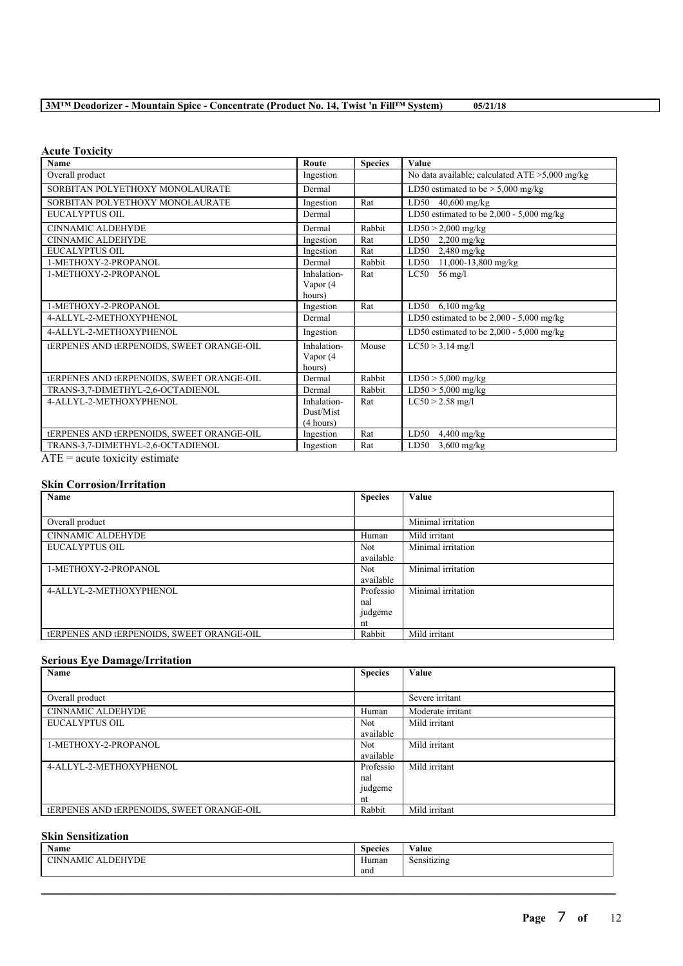|  |  | 3M <sup>™</sup> Deodorizer - Mountain Spice - Concentrate (Product No. 14, Twist 'n Fill <sup>™</sup> System) | 05/21/18 |
|--|--|---------------------------------------------------------------------------------------------------------------|----------|
|  |  |                                                                                                               |          |

## **Acute Toxicity**

| <b>Name</b>                                      | Route       | <b>Species</b> | Value                                             |
|--------------------------------------------------|-------------|----------------|---------------------------------------------------|
| Overall product                                  | Ingestion   |                | No data available; calculated $ATE > 5,000$ mg/kg |
| SORBITAN POLYETHOXY MONOLAURATE                  | Dermal      |                | LD50 estimated to be $>$ 5,000 mg/kg              |
| SORBITAN POLYETHOXY MONOLAURATE                  | Ingestion   | Rat            | $LD50$ 40,600 mg/kg                               |
| <b>EUCALYPTUS OIL</b>                            | Dermal      |                | LD50 estimated to be $2,000 - 5,000$ mg/kg        |
| <b>CINNAMIC ALDEHYDE</b>                         | Dermal      | Rabbit         | $LD50 > 2,000$ mg/kg                              |
| <b>CINNAMIC ALDEHYDE</b>                         | Ingestion   | Rat            | LD50 $2,200$ mg/kg                                |
| <b>EUCALYPTUS OIL</b>                            | Ingestion   | Rat            | $2,480$ mg/kg<br>LD50                             |
| 1-METHOXY-2-PROPANOL                             | Dermal      | Rabbit         | $11,000 - 13,800$ mg/kg<br>LD50                   |
| 1-METHOXY-2-PROPANOL                             | Inhalation- | Rat            | $LC50$ 56 mg/l                                    |
|                                                  | Vapor (4    |                |                                                   |
|                                                  | hours)      |                |                                                   |
| 1-METHOXY-2-PROPANOL                             | Ingestion   | Rat            | $LD50$ 6,100 mg/kg                                |
| 4-ALLYL-2-METHOXYPHENOL                          | Dermal      |                | LD50 estimated to be $2,000 - 5,000$ mg/kg        |
| 4-ALLYL-2-METHOXYPHENOL                          | Ingestion   |                | LD50 estimated to be $2,000 - 5,000$ mg/kg        |
| tERPENES AND tERPENOIDS, SWEET ORANGE-OIL        | Inhalation- | Mouse          | $LC50 > 3.14$ mg/l                                |
|                                                  | Vapor (4    |                |                                                   |
|                                                  | hours)      |                |                                                   |
| <b>tERPENES AND TERPENOIDS, SWEET ORANGE-OIL</b> | Dermal      | Rabbit         | $LD50 > 5,000$ mg/kg                              |
| TRANS-3.7-DIMETHYL-2.6-OCTADIENOL                | Dermal      | Rabbit         | $LD50 > 5,000$ mg/kg                              |
| 4-ALLYL-2-METHOXYPHENOL                          | Inhalation- | Rat            | $LC50 > 2.58$ mg/l                                |
|                                                  | Dust/Mist   |                |                                                   |
|                                                  | (4 hours)   |                |                                                   |
| tERPENES AND tERPENOIDS, SWEET ORANGE-OIL        | Ingestion   | Rat            | $4,400$ mg/kg<br>LD50                             |
| TRANS-3,7-DIMETHYL-2,6-OCTADIENOL                | Ingestion   | Rat            | $3,600$ mg/kg<br>LD50                             |

 $\overline{ATE}$  = acute toxicity estimate

## **Skin Corrosion/Irritation**

| Name                                             | <b>Species</b> | Value              |
|--------------------------------------------------|----------------|--------------------|
|                                                  |                |                    |
| Overall product                                  |                | Minimal irritation |
| <b>CINNAMIC ALDEHYDE</b>                         | Human          | Mild irritant      |
| EUCALYPTUS OIL                                   | <b>Not</b>     | Minimal irritation |
|                                                  | available      |                    |
| 1-METHOXY-2-PROPANOL                             | <b>Not</b>     | Minimal irritation |
|                                                  | available      |                    |
| 4-ALLYL-2-METHOXYPHENOL                          | Professio      | Minimal irritation |
|                                                  | nal            |                    |
|                                                  | judgeme        |                    |
|                                                  | nt             |                    |
| <b>tERPENES AND TERPENOIDS, SWEET ORANGE-OIL</b> | Rabbit         | Mild irritant      |

## **Serious Eye Damage/Irritation**

| Name                                             | <b>Species</b> | Value             |
|--------------------------------------------------|----------------|-------------------|
|                                                  |                |                   |
| Overall product                                  |                | Severe irritant   |
| <b>CINNAMIC ALDEHYDE</b>                         | Human          | Moderate irritant |
| EUCALYPTUS OIL                                   | <b>Not</b>     | Mild irritant     |
|                                                  | available      |                   |
| 1-METHOXY-2-PROPANOL                             | <b>Not</b>     | Mild irritant     |
|                                                  | available      |                   |
| 4-ALLYL-2-METHOXYPHENOL                          | Professio      | Mild irritant     |
|                                                  | nal            |                   |
|                                                  | judgeme        |                   |
|                                                  | nt             |                   |
| <b>tERPENES AND TERPENOIDS, SWEET ORANGE-OIL</b> | Rabbit         | Mild irritant     |

## **Skin Sensitization**

| $\rightarrow$<br>Name     | ∼<br><b>Species</b> | $\mathbf{v}$<br>⁄ alue                   |
|---------------------------|---------------------|------------------------------------------|
| <b>DEHYDE</b><br>CINNAMIC | Human               | $\cdot$ $\cdot$<br>$\sim$<br>Sensitizing |
|                           | and                 |                                          |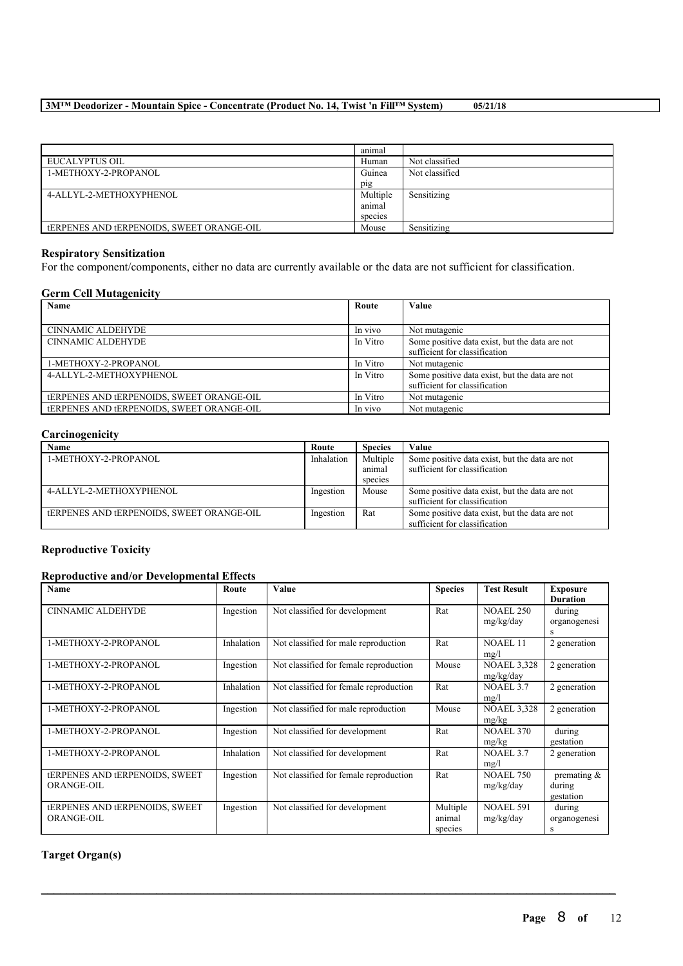|                                                  | animal   |                |
|--------------------------------------------------|----------|----------------|
| EUCALYPTUS OIL                                   | Human    | Not classified |
| 1-METHOXY-2-PROPANOL                             | Guinea   | Not classified |
|                                                  | pig      |                |
| 4-ALLYL-2-METHOXYPHENOL                          | Multiple | Sensitizing    |
|                                                  | animal   |                |
|                                                  | species  |                |
| <b>tERPENES AND TERPENOIDS, SWEET ORANGE-OIL</b> | Mouse    | Sensitizing    |

### **Respiratory Sensitization**

For the component/components, either no data are currently available or the data are not sufficient for classification.

#### **Germ Cell Mutagenicity**

| Name                                             | Route    | Value                                          |
|--------------------------------------------------|----------|------------------------------------------------|
|                                                  |          |                                                |
| <b>CINNAMIC ALDEHYDE</b>                         | In vivo  | Not mutagenic                                  |
| <b>CINNAMIC ALDEHYDE</b>                         | In Vitro | Some positive data exist, but the data are not |
|                                                  |          | sufficient for classification                  |
| 1-METHOXY-2-PROPANOL                             | In Vitro | Not mutagenic                                  |
| 4-ALLYL-2-METHOXYPHENOL                          | In Vitro | Some positive data exist, but the data are not |
|                                                  |          | sufficient for classification                  |
| <b>tERPENES AND TERPENOIDS, SWEET ORANGE-OIL</b> | In Vitro | Not mutagenic                                  |
| <b>tERPENES AND tERPENOIDS, SWEET ORANGE-OIL</b> | In vivo  | Not mutagenic                                  |

## **Carcinogenicity**

| Name                                            | Route      | <b>Species</b> | Value                                          |
|-------------------------------------------------|------------|----------------|------------------------------------------------|
| 1-METHOXY-2-PROPANOL                            | Inhalation | Multiple       | Some positive data exist, but the data are not |
|                                                 |            | anımal         | sufficient for classification                  |
|                                                 |            | species        |                                                |
| 4-ALLYL-2-METHOXYPHENOL                         | Ingestion  | Mouse          | Some positive data exist, but the data are not |
|                                                 |            |                | sufficient for classification                  |
| <b>ERPENES AND LERPENOIDS, SWEET ORANGE-OIL</b> | Ingestion  | Rat            | Some positive data exist, but the data are not |
|                                                 |            |                | sufficient for classification                  |

## **Reproductive Toxicity**

## **Reproductive and/or Developmental Effects**

| <b>Name</b>                           | Route      | Value                                  | <b>Species</b> | <b>Test Result</b>  | <b>Exposure</b> |
|---------------------------------------|------------|----------------------------------------|----------------|---------------------|-----------------|
|                                       |            |                                        |                |                     | <b>Duration</b> |
| <b>CINNAMIC ALDEHYDE</b>              | Ingestion  | Not classified for development         | Rat            | <b>NOAEL 250</b>    | during          |
|                                       |            |                                        |                | mg/kg/day           | organogenesi    |
|                                       |            |                                        |                |                     |                 |
| 1-METHOXY-2-PROPANOL                  | Inhalation | Not classified for male reproduction   | Rat            | NOAEL <sub>11</sub> | 2 generation    |
|                                       |            |                                        |                | mg/l                |                 |
| 1-METHOXY-2-PROPANOL                  | Ingestion  | Not classified for female reproduction | Mouse          | <b>NOAEL 3,328</b>  | 2 generation    |
|                                       |            |                                        |                | mg/kg/day           |                 |
| 1-METHOXY-2-PROPANOL                  | Inhalation | Not classified for female reproduction | Rat            | NOAEL 3.7           | 2 generation    |
|                                       |            |                                        |                | mg/l                |                 |
| 1-METHOXY-2-PROPANOL                  | Ingestion  | Not classified for male reproduction   | Mouse          | <b>NOAEL 3,328</b>  | 2 generation    |
|                                       |            |                                        |                | mg/kg               |                 |
| 1-METHOXY-2-PROPANOL                  | Ingestion  | Not classified for development         | Rat            | <b>NOAEL 370</b>    | during          |
|                                       |            |                                        |                | mg/kg               | gestation       |
| 1-METHOXY-2-PROPANOL                  | Inhalation | Not classified for development         | Rat            | NOAEL 3.7           | 2 generation    |
|                                       |            |                                        |                | mg/l                |                 |
| <b>tERPENES AND TERPENOIDS, SWEET</b> | Ingestion  | Not classified for female reproduction | Rat            | <b>NOAEL 750</b>    | premating $\&$  |
| <b>ORANGE-OIL</b>                     |            |                                        |                | mg/kg/day           | during          |
|                                       |            |                                        |                |                     | gestation       |
| <b>tERPENES AND TERPENOIDS, SWEET</b> | Ingestion  | Not classified for development         | Multiple       | <b>NOAEL 591</b>    | during          |
| ORANGE-OIL                            |            |                                        | animal         | mg/kg/day           | organogenesi    |
|                                       |            |                                        | species        |                     | S               |

 $\mathcal{L}_\mathcal{L} = \mathcal{L}_\mathcal{L} = \mathcal{L}_\mathcal{L} = \mathcal{L}_\mathcal{L} = \mathcal{L}_\mathcal{L} = \mathcal{L}_\mathcal{L} = \mathcal{L}_\mathcal{L} = \mathcal{L}_\mathcal{L} = \mathcal{L}_\mathcal{L} = \mathcal{L}_\mathcal{L} = \mathcal{L}_\mathcal{L} = \mathcal{L}_\mathcal{L} = \mathcal{L}_\mathcal{L} = \mathcal{L}_\mathcal{L} = \mathcal{L}_\mathcal{L} = \mathcal{L}_\mathcal{L} = \mathcal{L}_\mathcal{L}$ 

## **Target Organ(s)**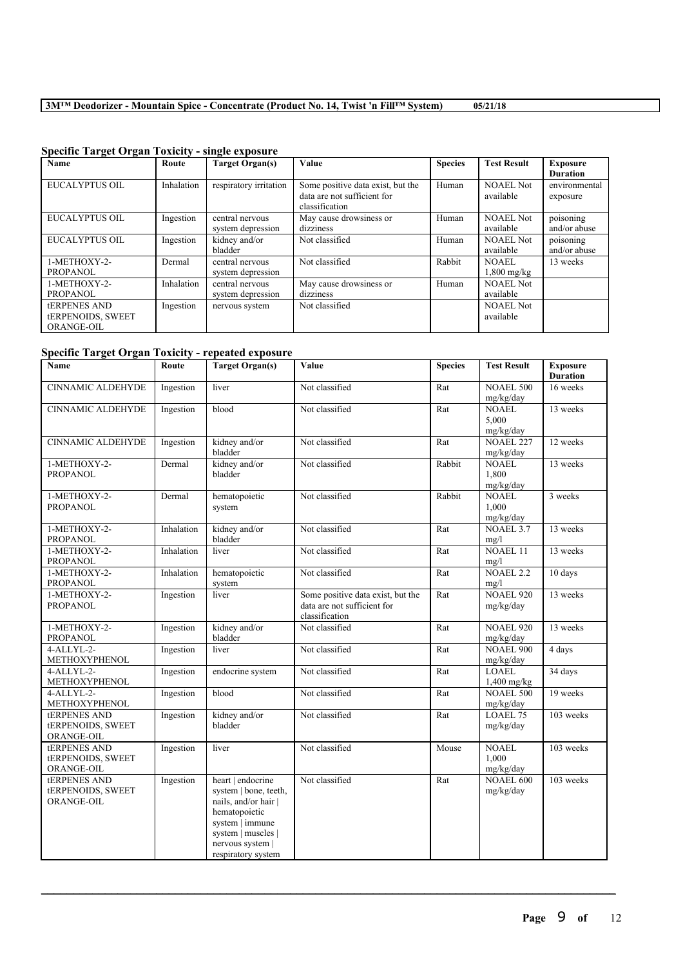| Name                     | Route      | <b>Target Organ(s)</b> | <b>Value</b>                      | <b>Species</b> | <b>Test Result</b> | <b>Exposure</b> |
|--------------------------|------------|------------------------|-----------------------------------|----------------|--------------------|-----------------|
|                          |            |                        |                                   |                |                    | <b>Duration</b> |
| <b>EUCALYPTUS OIL</b>    | Inhalation | respiratory irritation | Some positive data exist, but the | Human          | <b>NOAEL Not</b>   | environmental   |
|                          |            |                        | data are not sufficient for       |                | available          | exposure        |
|                          |            |                        | classification                    |                |                    |                 |
| <b>EUCALYPTUS OIL</b>    | Ingestion  | central nervous        | May cause drowsiness or           | Human          | <b>NOAEL Not</b>   | poisoning       |
|                          |            | system depression      | dizziness                         |                | available          | and/or abuse    |
| <b>EUCALYPTUS OIL</b>    | Ingestion  | kidney and/or          | Not classified                    | Human          | <b>NOAEL Not</b>   | poisoning       |
|                          |            | bladder                |                                   |                | available          | and/or abuse    |
| 1-METHOXY-2-             | Dermal     | central nervous        | Not classified                    | Rabbit         | NOAEL              | 13 weeks        |
| PROPANOL                 |            | system depression      |                                   |                | $1,800$ mg/kg      |                 |
| 1-METHOXY-2-             | Inhalation | central nervous        | May cause drowsiness or           | Human          | <b>NOAEL Not</b>   |                 |
| <b>PROPANOL</b>          |            | system depression      | dizziness                         |                | available          |                 |
| <b>tERPENES AND</b>      | Ingestion  | nervous system         | Not classified                    |                | <b>NOAEL Not</b>   |                 |
| <b>tERPENOIDS, SWEET</b> |            |                        |                                   |                | available          |                 |
| <b>ORANGE-OIL</b>        |            |                        |                                   |                |                    |                 |

# **Specific Target Organ Toxicity - single exposure**

## **Specific Target Organ Toxicity - repeated exposure**

| Name                                                   | Route      | <b>Target Organ(s)</b>                                                                                                                                                 | Value                                                                              | <b>Species</b> | <b>Test Result</b>                              | <b>Exposure</b><br><b>Duration</b> |
|--------------------------------------------------------|------------|------------------------------------------------------------------------------------------------------------------------------------------------------------------------|------------------------------------------------------------------------------------|----------------|-------------------------------------------------|------------------------------------|
| <b>CINNAMIC ALDEHYDE</b>                               | Ingestion  | liver                                                                                                                                                                  | Not classified                                                                     | Rat            | <b>NOAEL 500</b>                                | 16 weeks                           |
| <b>CINNAMIC ALDEHYDE</b>                               | Ingestion  | blood                                                                                                                                                                  | Not classified                                                                     | Rat            | mg/kg/day<br><b>NOAEL</b><br>5,000<br>mg/kg/day | 13 weeks                           |
| <b>CINNAMIC ALDEHYDE</b>                               | Ingestion  | kidney and/or<br>bladder                                                                                                                                               | Not classified                                                                     | Rat            | <b>NOAEL 227</b><br>mg/kg/day                   | 12 weeks                           |
| 1-METHOXY-2-<br><b>PROPANOL</b>                        | Dermal     | kidney and/or<br>bladder                                                                                                                                               | Not classified                                                                     | Rabbit         | <b>NOAEL</b><br>1,800<br>mg/kg/day              | 13 weeks                           |
| 1-METHOXY-2-<br><b>PROPANOL</b>                        | Dermal     | hematopoietic<br>system                                                                                                                                                | Not classified                                                                     | Rabbit         | <b>NOAEL</b><br>1.000<br>mg/kg/day              | 3 weeks                            |
| 1-METHOXY-2-<br>PROPANOL                               | Inhalation | kidney and/or<br>bladder                                                                                                                                               | Not classified                                                                     | Rat            | NOAEL 3.7<br>mg/l                               | 13 weeks                           |
| 1-METHOXY-2-<br><b>PROPANOL</b>                        | Inhalation | liver                                                                                                                                                                  | Not classified                                                                     | Rat            | <b>NOAEL 11</b><br>mg/l                         | 13 weeks                           |
| 1-METHOXY-2-<br><b>PROPANOL</b>                        | Inhalation | hematopoietic<br>system                                                                                                                                                | Not classified                                                                     | Rat            | NOAEL <sub>2.2</sub><br>mg/l                    | $10 \text{ days}$                  |
| 1-METHOXY-2-<br><b>PROPANOL</b>                        | Ingestion  | liver                                                                                                                                                                  | Some positive data exist, but the<br>data are not sufficient for<br>classification | Rat            | <b>NOAEL 920</b><br>mg/kg/day                   | 13 weeks                           |
| 1-METHOXY-2-<br><b>PROPANOL</b>                        | Ingestion  | kidney and/or<br>bladder                                                                                                                                               | Not classified                                                                     | Rat            | <b>NOAEL 920</b><br>mg/kg/day                   | 13 weeks                           |
| $4 - ALLYL-2-$<br>METHOXYPHENOL                        | Ingestion  | liver                                                                                                                                                                  | Not classified                                                                     | Rat            | <b>NOAEL 900</b><br>mg/kg/day                   | 4 days                             |
| $4 - ALLYL-2-$<br><b>METHOXYPHENOL</b>                 | Ingestion  | endocrine system                                                                                                                                                       | Not classified                                                                     | Rat            | <b>LOAEL</b><br>$1,400$ mg/kg                   | 34 days                            |
| 4-ALLYL-2-<br>METHOXYPHENOL                            | Ingestion  | blood                                                                                                                                                                  | Not classified                                                                     | Rat            | <b>NOAEL 500</b><br>mg/kg/day                   | 19 weeks                           |
| <b>tERPENES AND</b><br>tERPENOIDS, SWEET<br>ORANGE-OIL | Ingestion  | kidney and/or<br>bladder                                                                                                                                               | Not classified                                                                     | Rat            | LOAEL 75<br>mg/kg/day                           | 103 weeks                          |
| <b>tERPENES AND</b><br>tERPENOIDS, SWEET<br>ORANGE-OIL | Ingestion  | liver                                                                                                                                                                  | Not classified                                                                     | Mouse          | <b>NOAEL</b><br>1,000<br>mg/kg/day              | 103 weeks                          |
| <b>tERPENES AND</b><br>tERPENOIDS, SWEET<br>ORANGE-OIL | Ingestion  | heart   endocrine<br>system   bone, teeth,<br>nails, and/or hair  <br>hematopoietic<br>system   immune<br>system   muscles  <br>nervous system  <br>respiratory system | Not classified                                                                     | Rat            | <b>NOAEL 600</b><br>mg/kg/day                   | 103 weeks                          |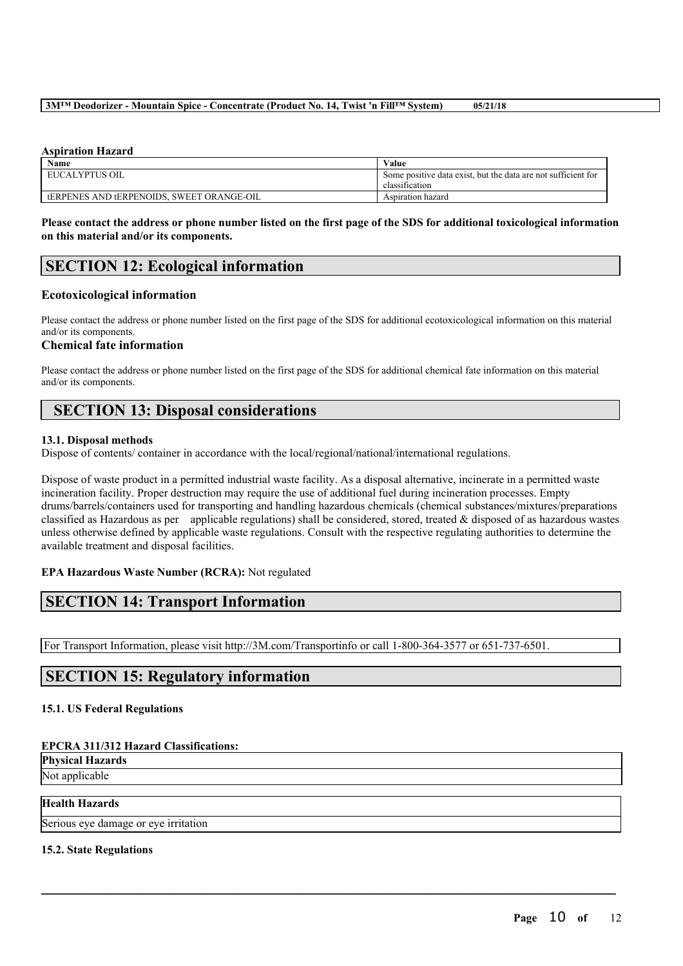### **Aspiration Hazard**

| Name                                             | Value                                                                           |
|--------------------------------------------------|---------------------------------------------------------------------------------|
| EUCALYPTUS OIL                                   | Some positive data exist, but the data are not sufficient for<br>classification |
| <b>tERPENES AND TERPENOIDS, SWEET ORANGE-OIL</b> | Aspiration hazard                                                               |

Please contact the address or phone number listed on the first page of the SDS for additional toxicological information **on this material and/or its components.**

## **SECTION 12: Ecological information**

### **Ecotoxicological information**

Please contact the address or phone number listed on the first page of the SDS for additional ecotoxicological information on this material and/or its components.

## **Chemical fate information**

Please contact the address or phone number listed on the first page of the SDS for additional chemical fate information on this material and/or its components.

# **SECTION 13: Disposal considerations**

### **13.1. Disposal methods**

Dispose of contents/ container in accordance with the local/regional/national/international regulations.

Dispose of waste product in a permitted industrial waste facility. As a disposal alternative, incinerate in a permitted waste incineration facility. Proper destruction may require the use of additional fuel during incineration processes. Empty drums/barrels/containers used for transporting and handling hazardous chemicals (chemical substances/mixtures/preparations classified as Hazardous as per applicable regulations) shall be considered, stored, treated  $\&$  disposed of as hazardous wastes unless otherwise defined by applicable waste regulations. Consult with the respective regulating authorities to determine the available treatment and disposal facilities.

 $\mathcal{L}_\mathcal{L} = \mathcal{L}_\mathcal{L} = \mathcal{L}_\mathcal{L} = \mathcal{L}_\mathcal{L} = \mathcal{L}_\mathcal{L} = \mathcal{L}_\mathcal{L} = \mathcal{L}_\mathcal{L} = \mathcal{L}_\mathcal{L} = \mathcal{L}_\mathcal{L} = \mathcal{L}_\mathcal{L} = \mathcal{L}_\mathcal{L} = \mathcal{L}_\mathcal{L} = \mathcal{L}_\mathcal{L} = \mathcal{L}_\mathcal{L} = \mathcal{L}_\mathcal{L} = \mathcal{L}_\mathcal{L} = \mathcal{L}_\mathcal{L}$ 

## **EPA Hazardous Waste Number (RCRA):** Not regulated

# **SECTION 14: Transport Information**

For Transport Information, please visit http://3M.com/Transportinfo or call 1-800-364-3577 or 651-737-6501.

# **SECTION 15: Regulatory information**

## **15.1. US Federal Regulations**

### **EPCRA 311/312 Hazard Classifications:**

**Physical Hazards**

Not applicable

## **Health Hazards**

Serious eye damage or eye irritation

### **15.2. State Regulations**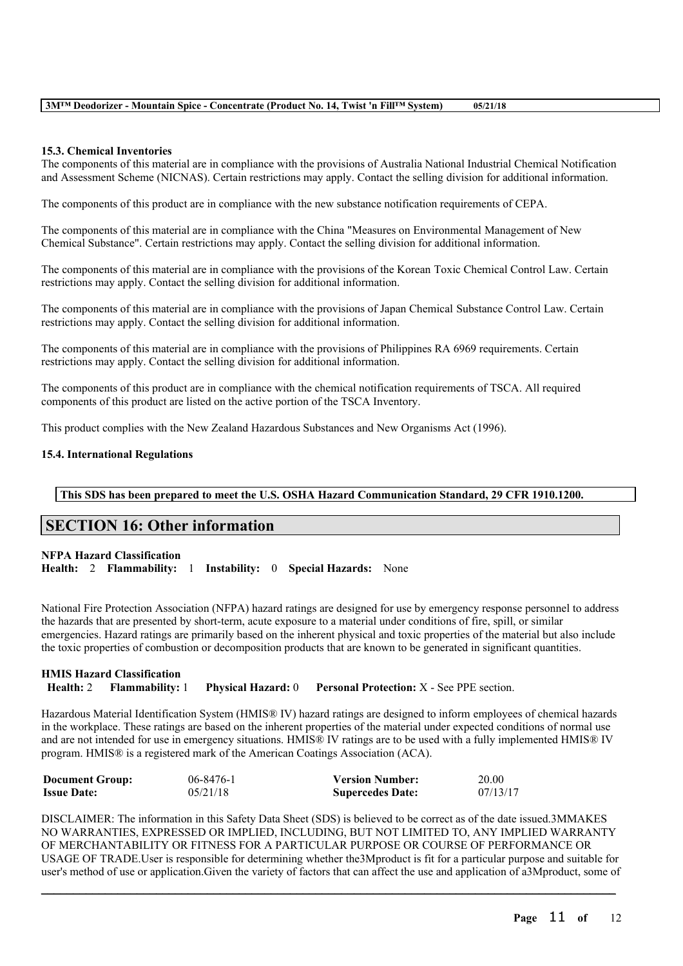### **15.3. Chemical Inventories**

The components of this material are in compliance with the provisions of Australia National Industrial Chemical Notification and Assessment Scheme (NICNAS). Certain restrictions may apply. Contact the selling division for additional information.

The components of this product are in compliance with the new substance notification requirements of CEPA.

The components of this material are in compliance with the China "Measures on Environmental Management of New Chemical Substance". Certain restrictions may apply. Contact the selling division for additional information.

The components of this material are in compliance with the provisions of the Korean Toxic Chemical Control Law. Certain restrictions may apply. Contact the selling division for additional information.

The components of this material are in compliance with the provisions of Japan Chemical Substance Control Law. Certain restrictions may apply. Contact the selling division for additional information.

The components of this material are in compliance with the provisions of Philippines RA 6969 requirements. Certain restrictions may apply. Contact the selling division for additional information.

The components of this product are in compliance with the chemical notification requirements of TSCA. All required components of this product are listed on the active portion of the TSCA Inventory.

This product complies with the New Zealand Hazardous Substances and New Organisms Act (1996).

### **15.4. International Regulations**

**This SDS has been prepared to meet the U.S. OSHA Hazard Communication Standard, 29 CFR 1910.1200.**

## **SECTION 16: Other information**

**NFPA Hazard Classification**

**Health:** 2 **Flammability:** 1 **Instability:** 0 **Special Hazards:** None

National Fire Protection Association (NFPA) hazard ratings are designed for use by emergency response personnel to address the hazards that are presented by short-term, acute exposure to a material under conditions of fire, spill, or similar emergencies. Hazard ratings are primarily based on the inherent physical and toxic properties of the material but also include the toxic properties of combustion or decomposition products that are known to be generated in significant quantities.

### **HMIS Hazard Classification Health:** 2 **Flammability:** 1 **Physical Hazard:** 0 **Personal Protection:** X - See PPE section.

Hazardous Material Identification System (HMIS® IV) hazard ratings are designed to inform employees of chemical hazards in the workplace. These ratings are based on the inherent properties of the material under expected conditions of normal use and are not intended for use in emergency situations. HMIS® IV ratings are to be used with a fully implemented HMIS® IV program. HMIS® is a registered mark of the American Coatings Association (ACA).

| <b>Document Group:</b> | $06 - 8476 - 1$ | <b>Version Number:</b>  | 20.00    |
|------------------------|-----------------|-------------------------|----------|
| <b>Issue Date:</b>     | 05/21/18        | <b>Supercedes Date:</b> | 07/13/17 |

DISCLAIMER: The information in this Safety Data Sheet (SDS) is believed to be correct as of the date issued.3MMAKES NO WARRANTIES, EXPRESSED OR IMPLIED, INCLUDING, BUT NOT LIMITED TO, ANY IMPLIED WARRANTY OF MERCHANTABILITY OR FITNESS FOR A PARTICULAR PURPOSE OR COURSE OF PERFORMANCE OR USAGE OF TRADE.User is responsible for determining whether the3Mproduct is fit for a particular purpose and suitable for user's method of use or application.Given the variety of factors that can affect the use and application of a3Mproduct, some of